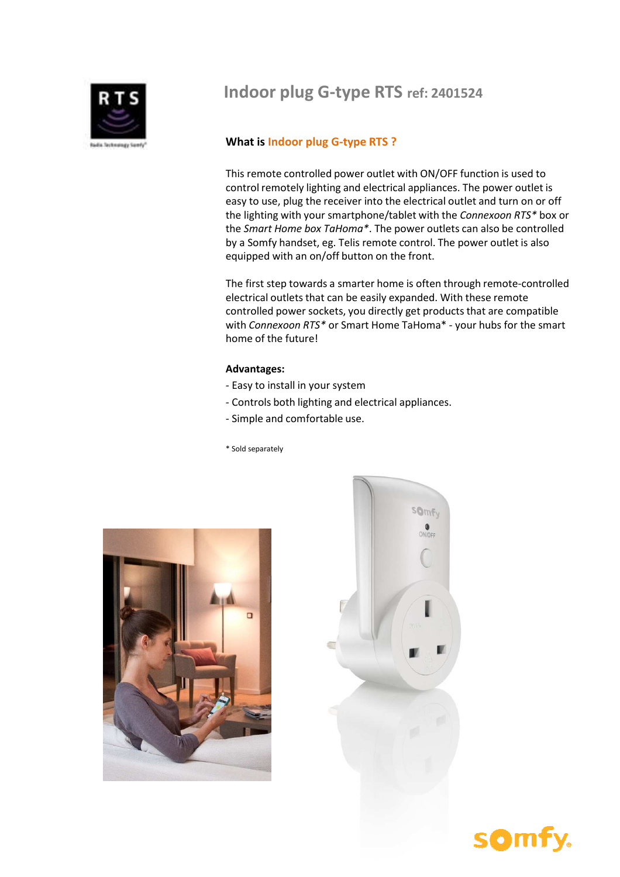

# **Indoor plug G-type RTS ref: 2401524**

### **What is Indoor plug G-type RTS ?**

This remote controlled power outlet with ON/OFF function is used to control remotely lighting and electrical appliances. The power outlet is easy to use, plug the receiver into the electrical outlet and turn on or off the lighting with your smartphone/tablet with the *Connexoon RTS\** box or the *Smart Home box TaHoma\**. The power outlets can also be controlled by a Somfy handset, eg. Telis remote control. The power outlet is also equipped with an on/off button on the front.

The first step towards a smarter home is often through remote-controlled electrical outlets that can be easily expanded. With these remote controlled power sockets, you directly get products that are compatible with *Connexoon RTS\** or Smart Home TaHoma\* - your hubs for the smart home of the future!

### **Advantages:**

- Easy to install in your system
- Controls both lighting and electrical appliances.
- Simple and comfortable use.
- \* Sold separately